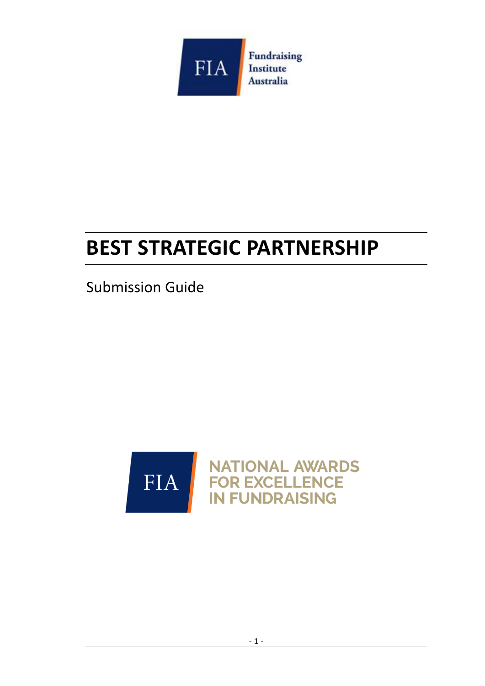

# **BEST STRATEGIC PARTNERSHIP**

Submission Guide

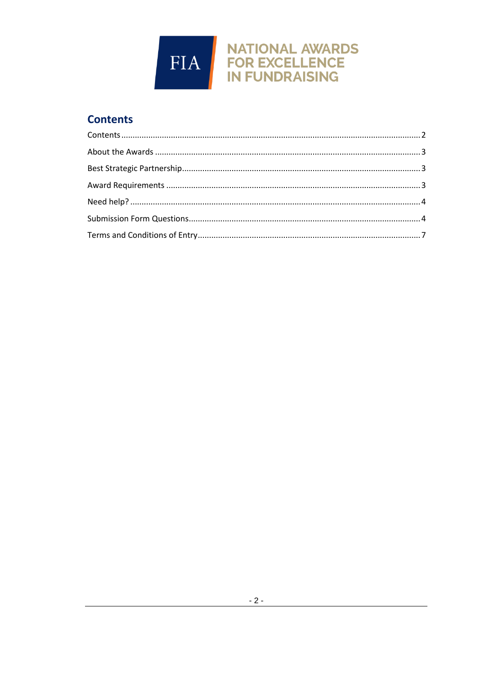

# <span id="page-1-0"></span>**Contents**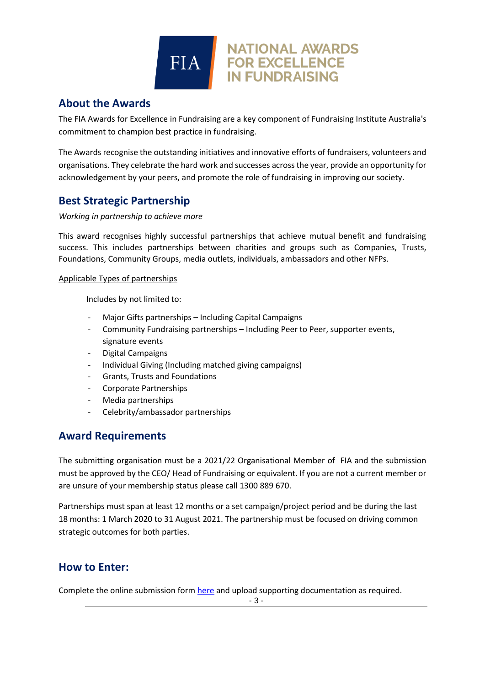# **FIA**

# <span id="page-2-0"></span>**About the Awards**

The FIA Awards for Excellence in Fundraising are a key component of Fundraising Institute Australia's commitment to champion best practice in fundraising.

**NATIONAL AWARDS** 

**FOR EXCELLENCE IN FUNDRAISING** 

The Awards recognise the outstanding initiatives and innovative efforts of fundraisers, volunteers and organisations. They celebrate the hard work and successes across the year, provide an opportunity for acknowledgement by your peers, and promote the role of fundraising in improving our society.

## <span id="page-2-1"></span>**Best Strategic Partnership**

#### *Working in partnership to achieve more*

This award recognises highly successful partnerships that achieve mutual benefit and fundraising success. This includes partnerships between charities and groups such as Companies, Trusts, Foundations, Community Groups, media outlets, individuals, ambassadors and other NFPs.

#### Applicable Types of partnerships

Includes by not limited to:

- Major Gifts partnerships Including Capital Campaigns
- Community Fundraising partnerships Including Peer to Peer, supporter events, signature events
- Digital Campaigns
- Individual Giving (Including matched giving campaigns)
- Grants, Trusts and Foundations
- Corporate Partnerships
- Media partnerships
- Celebrity/ambassador partnerships

# <span id="page-2-2"></span>**Award Requirements**

The submitting organisation must be a 2021/22 Organisational Member of FIA and the submission must be approved by the CEO/ Head of Fundraising or equivalent. If you are not a current member or are unsure of your membership status please call 1300 889 670.

Partnerships must span at least 12 months or a set campaign/project period and be during the last 18 months: 1 March 2020 to 31 August 2021. The partnership must be focused on driving common strategic outcomes for both parties.

### **How to Enter:**

Complete the online submission form [here](https://fia.awardsplatform.com/) and upload supporting documentation as required.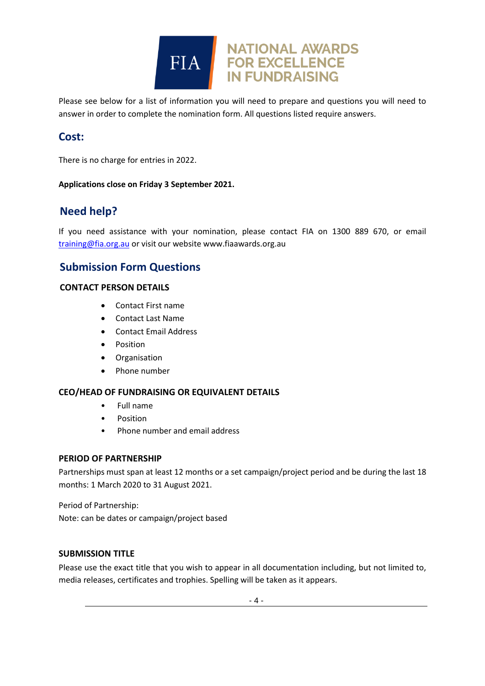

Please see below for a list of information you will need to prepare and questions you will need to answer in order to complete the nomination form. All questions listed require answers.

# **Cost:**

There is no charge for entries in 2022.

**Applications close on Friday 3 September 2021.**

# <span id="page-3-0"></span>**Need help?**

If you need assistance with your nomination, please contact FIA on 1300 889 670, or email [training@fia.org.au](mailto:training@fia.org.au) or visit our website www.fiaawards.org.au

# <span id="page-3-1"></span>**Submission Form Questions**

#### **CONTACT PERSON DETAILS**

- Contact First name
- Contact Last Name
- Contact Email Address
- Position
- Organisation
- Phone number

#### **CEO/HEAD OF FUNDRAISING OR EQUIVALENT DETAILS**

- Full name
- Position
- Phone number and email address

#### **PERIOD OF PARTNERSHIP**

Partnerships must span at least 12 months or a set campaign/project period and be during the last 18 months: 1 March 2020 to 31 August 2021.

Period of Partnership: Note: can be dates or campaign/project based

#### **SUBMISSION TITLE**

Please use the exact title that you wish to appear in all documentation including, but not limited to, media releases, certificates and trophies. Spelling will be taken as it appears.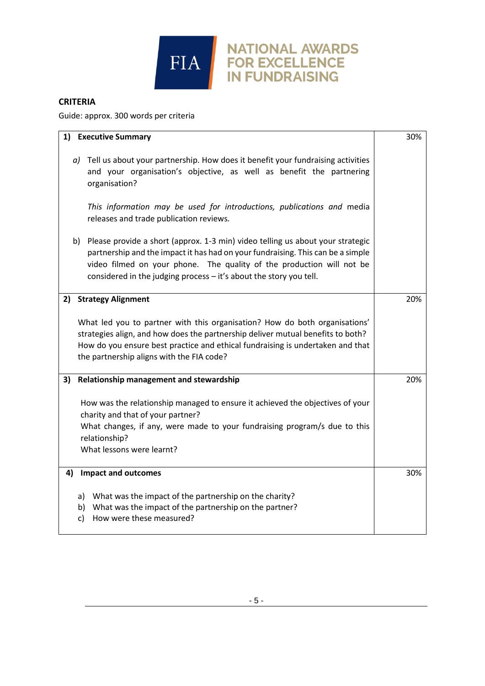

#### **CRITERIA**

Guide: approx. 300 words per criteria

| 1) Executive Summary                                                                                                                                                                                                                                                                                                                                                                        | 30% |
|---------------------------------------------------------------------------------------------------------------------------------------------------------------------------------------------------------------------------------------------------------------------------------------------------------------------------------------------------------------------------------------------|-----|
| $a$ ) Tell us about your partnership. How does it benefit your fundraising activities<br>and your organisation's objective, as well as benefit the partnering<br>organisation?<br>This information may be used for introductions, publications and media<br>releases and trade publication reviews.<br>Please provide a short (approx. 1-3 min) video telling us about your strategic<br>b) |     |
| partnership and the impact it has had on your fundraising. This can be a simple<br>video filmed on your phone. The quality of the production will not be<br>considered in the judging process - it's about the story you tell.                                                                                                                                                              |     |
| <b>Strategy Alignment</b><br>2)                                                                                                                                                                                                                                                                                                                                                             | 20% |
| What led you to partner with this organisation? How do both organisations'<br>strategies align, and how does the partnership deliver mutual benefits to both?<br>How do you ensure best practice and ethical fundraising is undertaken and that<br>the partnership aligns with the FIA code?                                                                                                |     |
| Relationship management and stewardship<br>3)                                                                                                                                                                                                                                                                                                                                               | 20% |
| How was the relationship managed to ensure it achieved the objectives of your<br>charity and that of your partner?<br>What changes, if any, were made to your fundraising program/s due to this<br>relationship?<br>What lessons were learnt?                                                                                                                                               |     |
| <b>Impact and outcomes</b><br>4)                                                                                                                                                                                                                                                                                                                                                            | 30% |
| a) What was the impact of the partnership on the charity?<br>b) What was the impact of the partnership on the partner?<br>How were these measured?<br>C)                                                                                                                                                                                                                                    |     |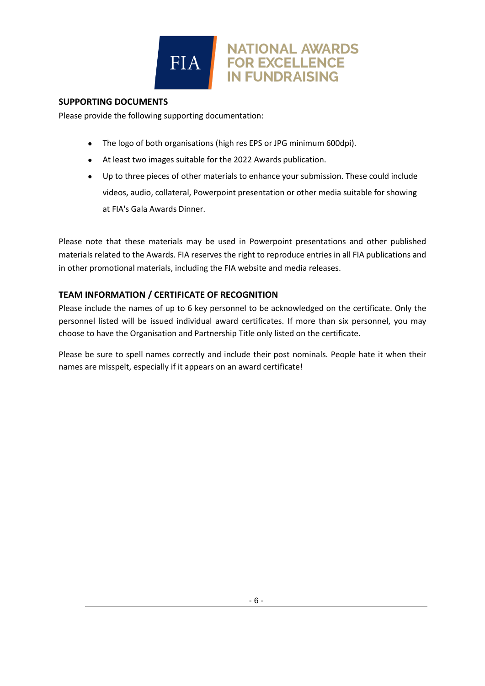

#### **SUPPORTING DOCUMENTS**

Please provide the following supporting documentation:

- The logo of both organisations (high res EPS or JPG minimum 600dpi).
- At least two images suitable for the 2022 Awards publication.
- Up to three pieces of other materials to enhance your submission. These could include videos, audio, collateral, Powerpoint presentation or other media suitable for showing at FIA's Gala Awards Dinner.

**NATIONAL AWARDS** 

**FOR EXCELLENCE IN FUNDRAISING** 

Please note that these materials may be used in Powerpoint presentations and other published materials related to the Awards. FIA reserves the right to reproduce entries in all FIA publications and in other promotional materials, including the FIA website and media releases.

#### **TEAM INFORMATION / CERTIFICATE OF RECOGNITION**

Please include the names of up to 6 key personnel to be acknowledged on the certificate. Only the personnel listed will be issued individual award certificates. If more than six personnel, you may choose to have the Organisation and Partnership Title only listed on the certificate.

Please be sure to spell names correctly and include their post nominals. People hate it when their names are misspelt, especially if it appears on an award certificate!